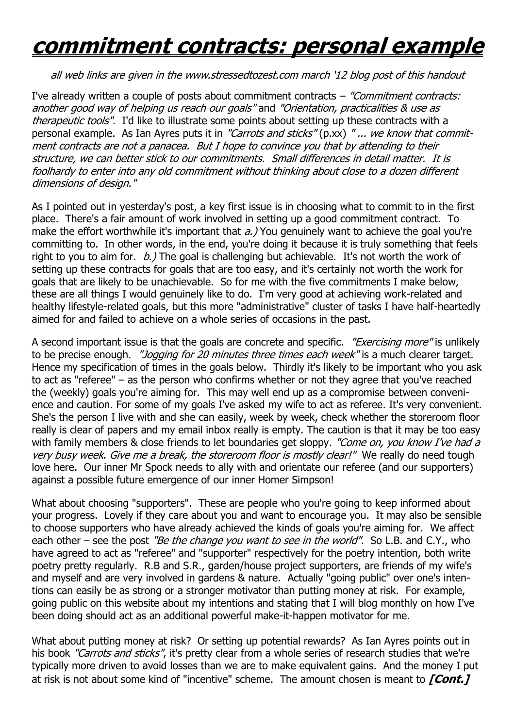## **commitment contracts: personal example**

## all web links are given in the www.stressedtozest.com march '12 blog post of this handout

I've already written a couple of posts about commitment contracts – "Commitment contracts: another good way of helping us reach our goals" and "Orientation, practicalities & use as therapeutic tools". I'd like to illustrate some points about setting up these contracts with a personal example. As Ian Ayres puts it in "Carrots and sticks" (p.xx) "... we know that commitment contracts are not a panacea. But I hope to convince you that by attending to their structure, we can better stick to our commitments. Small differences in detail matter. It is foolhardy to enter into any old commitment without thinking about close to a dozen different dimensions of design."

As I pointed out in yesterday's post, a key first issue is in choosing what to commit to in the first place. There's a fair amount of work involved in setting up a good commitment contract. To make the effort worthwhile it's important that  $a$ .) You genuinely want to achieve the goal you're committing to. In other words, in the end, you're doing it because it is truly something that feels right to you to aim for.  $b$ .) The goal is challenging but achievable. It's not worth the work of setting up these contracts for goals that are too easy, and it's certainly not worth the work for goals that are likely to be unachievable. So for me with the five commitments I make below, these are all things I would genuinely like to do. I'm very good at achieving work-related and healthy lifestyle-related goals, but this more "administrative" cluster of tasks I have half-heartedly aimed for and failed to achieve on a whole series of occasions in the past.

A second important issue is that the goals are concrete and specific. *"Exercising more"* is unlikely to be precise enough. "Jogging for 20 minutes three times each week" is a much clearer target. Hence my specification of times in the goals below. Thirdly it's likely to be important who you ask to act as "referee" – as the person who confirms whether or not they agree that you've reached the (weekly) goals you're aiming for. This may well end up as a compromise between convenience and caution. For some of my goals I've asked my wife to act as referee. It's very convenient. She's the person I live with and she can easily, week by week, check whether the storeroom floor really is clear of papers and my email inbox really is empty. The caution is that it may be too easy with family members & close friends to let boundaries get sloppy. "Come on, you know I've had a very busy week. Give me a break, the storeroom floor is mostly clear!" We really do need tough love here. Our inner Mr Spock needs to ally with and orientate our referee (and our supporters) against a possible future emergence of our inner Homer Simpson!

What about choosing "supporters". These are people who you're going to keep informed about your progress. Lovely if they care about you and want to encourage you. It may also be sensible to choose supporters who have already achieved the kinds of goals you're aiming for. We affect each other – see the post "Be the change you want to see in the world". So L.B. and C.Y., who have agreed to act as "referee" and "supporter" respectively for the poetry intention, both write poetry pretty regularly. R.B and S.R., garden/house project supporters, are friends of my wife's and myself and are very involved in gardens & nature. Actually "going public" over one's intentions can easily be as strong or a stronger motivator than putting money at risk. For example, going public on this website about my intentions and stating that I will blog monthly on how I've been doing should act as an additional powerful make-it-happen motivator for me.

What about putting money at risk? Or setting up potential rewards? As Ian Ayres points out in his book "Carrots and sticks", it's pretty clear from a whole series of research studies that we're typically more driven to avoid losses than we are to make equivalent gains. And the money I put at risk is not about some kind of "incentive" scheme. The amount chosen is meant to **[Cont.]**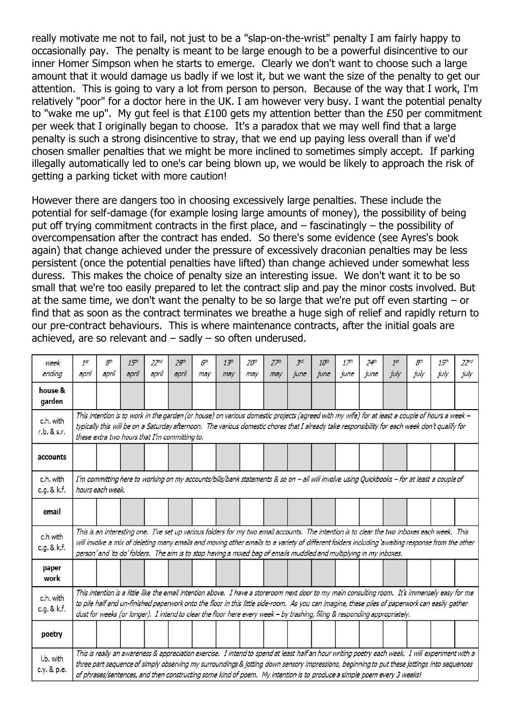really motivate me not to fail, not just to be a "slap-on-the-wrist" penalty I am fairly happy to occasionally pay. The penalty is meant to be large enough to be a powerful disincentive to our inner Homer Simpson when he starts to emerge. Clearly we don't want to choose such a large amount that it would damage us badly if we lost it, but we want the size of the penalty to get our attention. This is going to vary a lot from person to person. Because of the way that I work, I'm relatively "poor" for a doctor here in the UK. I am however very busy. I want the potential penalty to "wake me up". My gut feel is that £100 gets my attention better than the £50 per commitment per week that I originally began to choose. It's a paradox that we may well find that a large penalty is such a strong disincentive to stray, that we end up paying less overall than if we'd chosen smaller penalties that we might be more inclined to sometimes simply accept. If parking illegally automatically led to one's car being blown up, we would be likely to approach the risk of getting a parking ticket with more caution!

However there are dangers too in choosing excessively large penalties. These include the potential for self-damage (for example losing large amounts of money), the possibility of being put off trying commitment contracts in the first place, and – fascinatingly – the possibility of overcompensation after the contract has ended. So there's some evidence (see Ayres's book again) that change achieved under the pressure of excessively draconian penalties may be less persistent (once the potential penalties have lifted) than change achieved under somewhat less duress. This makes the choice of penalty size an interesting issue. We don't want it to be so small that we're too easily prepared to let the contract slip and pay the minor costs involved. But at the same time, we don't want the penalty to be so large that we're put off even starting – or find that as soon as the contract terminates we breathe a huge sigh of relief and rapidly return to our pre-contract behaviours. This is where maintenance contracts, after the initial goals are achieved, are so relevant and – sadly – so often underused.

| week<br>ending           | 1st<br>april                                                                                                                                                                                                                                                                                                                                                                                                                  | gth<br>april                                                                                                                                                                                                                                                                                                                                                                                                            | 15 <sup>th</sup><br>april | 22 <sub>nd</sub><br>april | 2 <sup>gh</sup><br>april | 6 <sup>th</sup><br>may | 13 <sup>th</sup><br>may | 20 <sup>th</sup><br>may | 27 <sup>th</sup><br>may | 3rd<br>june | 10 <sup>th</sup><br>june | 17 <sup>th</sup><br>june | 24 <sup>th</sup><br>june | 1st<br>july | gth<br>july | 15 <sup>th</sup><br>july | 22 <sub>nd</sub><br>july |
|--------------------------|-------------------------------------------------------------------------------------------------------------------------------------------------------------------------------------------------------------------------------------------------------------------------------------------------------------------------------------------------------------------------------------------------------------------------------|-------------------------------------------------------------------------------------------------------------------------------------------------------------------------------------------------------------------------------------------------------------------------------------------------------------------------------------------------------------------------------------------------------------------------|---------------------------|---------------------------|--------------------------|------------------------|-------------------------|-------------------------|-------------------------|-------------|--------------------------|--------------------------|--------------------------|-------------|-------------|--------------------------|--------------------------|
| house &<br>garden        |                                                                                                                                                                                                                                                                                                                                                                                                                               |                                                                                                                                                                                                                                                                                                                                                                                                                         |                           |                           |                          |                        |                         |                         |                         |             |                          |                          |                          |             |             |                          |                          |
| c.h. with<br>r.b. & s.r. | This intention is to work in the garden (or house) on various domestic projects (agreed with my wife) for at least a couple of hours a week -<br>typically this will be on a Saturday afternoon. The various domestic chores that I already take responsibility for each week don't qualify for<br>these extra two hours that I'm committing to.                                                                              |                                                                                                                                                                                                                                                                                                                                                                                                                         |                           |                           |                          |                        |                         |                         |                         |             |                          |                          |                          |             |             |                          |                          |
| accounts                 |                                                                                                                                                                                                                                                                                                                                                                                                                               |                                                                                                                                                                                                                                                                                                                                                                                                                         |                           |                           |                          |                        |                         |                         |                         |             |                          |                          |                          |             |             |                          |                          |
| c.h. with<br>c.g. & k.f. | I'm committing here to working on my accounts/bills/bank statements & so on - all will involve using Quickbooks - for at least a couple of<br>hours each week.                                                                                                                                                                                                                                                                |                                                                                                                                                                                                                                                                                                                                                                                                                         |                           |                           |                          |                        |                         |                         |                         |             |                          |                          |                          |             |             |                          |                          |
| email                    |                                                                                                                                                                                                                                                                                                                                                                                                                               |                                                                                                                                                                                                                                                                                                                                                                                                                         |                           |                           |                          |                        |                         |                         |                         |             |                          |                          |                          |             |             |                          |                          |
| c.h with<br>c.g. & k.f.  | This is an interesting one. I've set up various folders for my two email accounts. The intention is to clear the two inboxes each week. This<br>will involve a mix of deleting many emails and moving other emails to a variety of different folders including 'awaiting response from the other<br>person' and 'to do' folders. The aim is to stop having a mixed bag of emails muddled and multiplying in my inboxes.       |                                                                                                                                                                                                                                                                                                                                                                                                                         |                           |                           |                          |                        |                         |                         |                         |             |                          |                          |                          |             |             |                          |                          |
| paper<br>work            |                                                                                                                                                                                                                                                                                                                                                                                                                               |                                                                                                                                                                                                                                                                                                                                                                                                                         |                           |                           |                          |                        |                         |                         |                         |             |                          |                          |                          |             |             |                          |                          |
| c.h. with<br>c.g. & k.f. | This intention is a little like the email intention above. I have a storeroom next door to my main consulting room. It's immensely easy for me<br>to pile half and un-finished paperwork onto the floor in this little side-room. As you can imagine, these piles of paperwork can easily gather<br>dust for weeks (or longer). I intend to clear the floor here every week - by trashing, filing & responding appropriately. |                                                                                                                                                                                                                                                                                                                                                                                                                         |                           |                           |                          |                        |                         |                         |                         |             |                          |                          |                          |             |             |                          |                          |
| poetry                   |                                                                                                                                                                                                                                                                                                                                                                                                                               |                                                                                                                                                                                                                                                                                                                                                                                                                         |                           |                           |                          |                        |                         |                         |                         |             |                          |                          |                          |             |             |                          |                          |
| I.b. with<br>c.y. & p.e. |                                                                                                                                                                                                                                                                                                                                                                                                                               | This is really an awareness & appreciation exercise. I intend to spend at least half an hour writing poetry each week. I will experiment with a<br>three part sequence of simply observing my surroundings & jotting down sensory impressions, beginning to put these jottings into sequences<br>of phrases/sentences, and then constructing some kind of poem. My intention is to produce a simple poem every 3 weeks! |                           |                           |                          |                        |                         |                         |                         |             |                          |                          |                          |             |             |                          |                          |